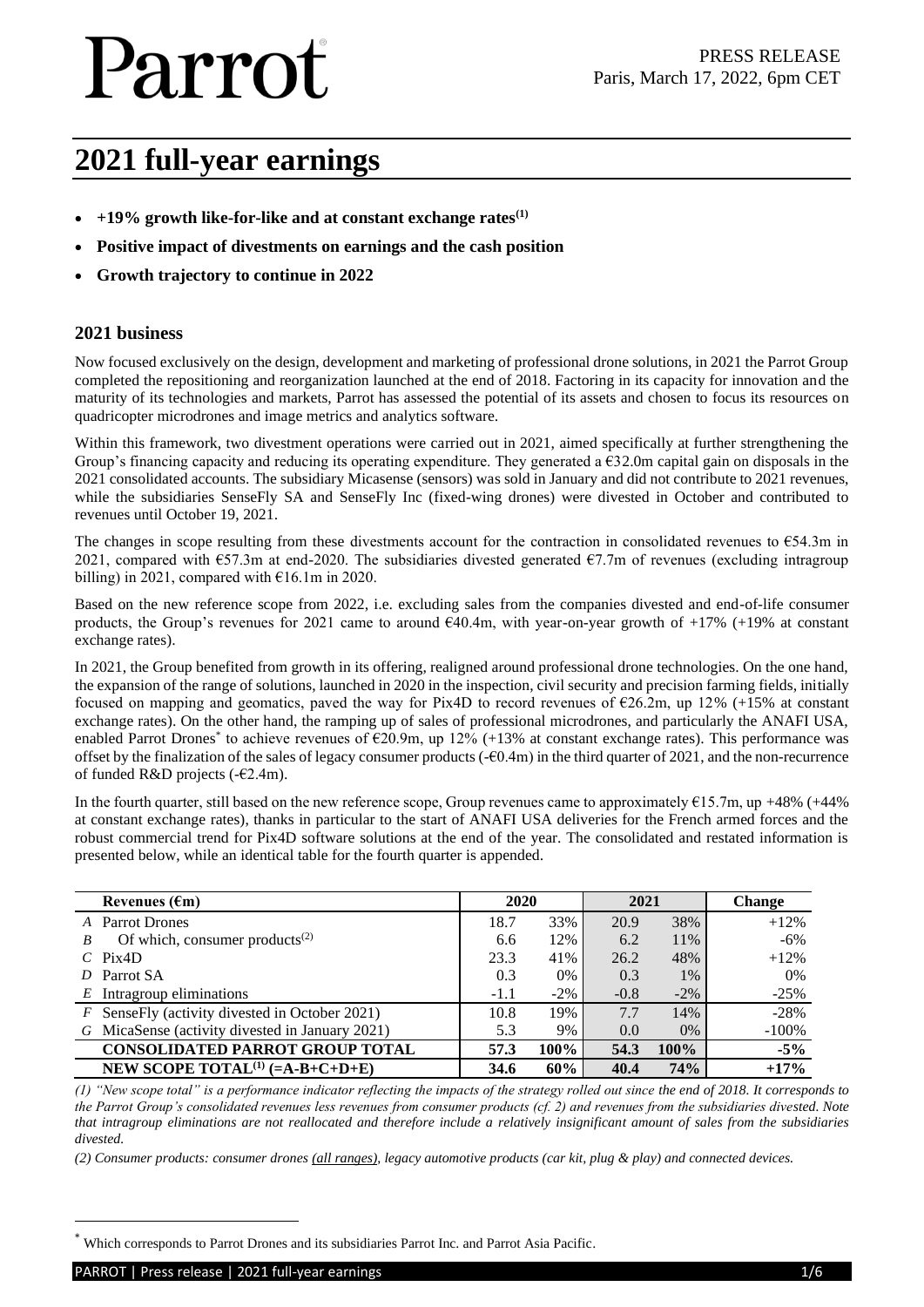# **2021 full-year earnings**

- **+19% growth like-for-like and at constant exchange rates(1)**
- **Positive impact of divestments on earnings and the cash position**
- **Growth trajectory to continue in 2022**

#### **2021 business**

Now focused exclusively on the design, development and marketing of professional drone solutions, in 2021 the Parrot Group completed the repositioning and reorganization launched at the end of 2018. Factoring in its capacity for innovation and the maturity of its technologies and markets, Parrot has assessed the potential of its assets and chosen to focus its resources on quadricopter microdrones and image metrics and analytics software.

Within this framework, two divestment operations were carried out in 2021, aimed specifically at further strengthening the Group's financing capacity and reducing its operating expenditure. They generated a  $\epsilon$ 32.0m capital gain on disposals in the 2021 consolidated accounts. The subsidiary Micasense (sensors) was sold in January and did not contribute to 2021 revenues, while the subsidiaries SenseFly SA and SenseFly Inc (fixed-wing drones) were divested in October and contributed to revenues until October 19, 2021.

The changes in scope resulting from these divestments account for the contraction in consolidated revenues to  $654.3m$  in 2021, compared with €57.3m at end-2020. The subsidiaries divested generated €7.7m of revenues (excluding intragroup billing) in 2021, compared with  $\epsilon$ 16.1m in 2020.

Based on the new reference scope from 2022, i.e. excluding sales from the companies divested and end-of-life consumer products, the Group's revenues for 2021 came to around  $640.4$ m, with year-on-year growth of  $+17\%$  ( $+19\%$  at constant exchange rates).

In 2021, the Group benefited from growth in its offering, realigned around professional drone technologies. On the one hand, the expansion of the range of solutions, launched in 2020 in the inspection, civil security and precision farming fields, initially focused on mapping and geomatics, paved the way for Pix4D to record revenues of  $\epsilon$ 26.2m, up 12% (+15% at constant exchange rates). On the other hand, the ramping up of sales of professional microdrones, and particularly the ANAFI USA, enabled Parrot Drones<sup>\*</sup> to achieve revenues of €20.9m, up 12% (+13% at constant exchange rates). This performance was offset by the finalization of the sales of legacy consumer products  $(-60.4m)$  in the third quarter of 2021, and the non-recurrence of funded R&D projects (-€2.4m).

In the fourth quarter, still based on the new reference scope, Group revenues came to approximately  $\epsilon$ 15.7m, up +48% (+44%) at constant exchange rates), thanks in particular to the start of ANAFI USA deliveries for the French armed forces and the robust commercial trend for Pix4D software solutions at the end of the year. The consolidated and restated information is presented below, while an identical table for the fourth quarter is appended.

| Revenues $(\epsilon m)$                          | 2020   |        | 2021   |        | <b>Change</b> |
|--------------------------------------------------|--------|--------|--------|--------|---------------|
| A Parrot Drones                                  | 18.7   | 33%    | 20.9   | 38%    | $+12%$        |
| Of which, consumer products <sup>(2)</sup><br>B  | 6.6    | 12%    | 6.2    | 11%    | $-6\%$        |
| $C$ Pix <sub>4</sub> D                           | 23.3   | 41%    | 26.2   | 48%    | $+12%$        |
| Parrot SA<br>D                                   | 0.3    | $0\%$  | 0.3    | $1\%$  | $0\%$         |
| $E$ Intragroup eliminations                      | $-1.1$ | $-2\%$ | $-0.8$ | $-2\%$ | $-25%$        |
| $F$ SenseFly (activity divested in October 2021) | 10.8   | 19%    | 7.7    | 14%    | $-28%$        |
| G MicaSense (activity divested in January 2021)  | 5.3    | 9%     | 0.0    | 0%     | $-100%$       |
| <b>CONSOLIDATED PARROT GROUP TOTAL</b>           | 57.3   | 100%   | 54.3   | 100%   | $-5\%$        |
| NEW SCOPE TOTAL <sup>(1)</sup> $(=A-B+C+D+E)$    | 34.6   | 60%    | 40.4   | 74%    | $+17%$        |

*(1) "New scope total" is a performance indicator reflecting the impacts of the strategy rolled out since the end of 2018. It corresponds to the Parrot Group's consolidated revenues less revenues from consumer products (cf. 2) and revenues from the subsidiaries divested. Note that intragroup eliminations are not reallocated and therefore include a relatively insignificant amount of sales from the subsidiaries divested.*

*(2) Consumer products: consumer drones (all ranges), legacy automotive products (car kit, plug & play) and connected devices.* 

<sup>\*</sup> Which corresponds to Parrot Drones and its subsidiaries Parrot Inc. and Parrot Asia Pacific.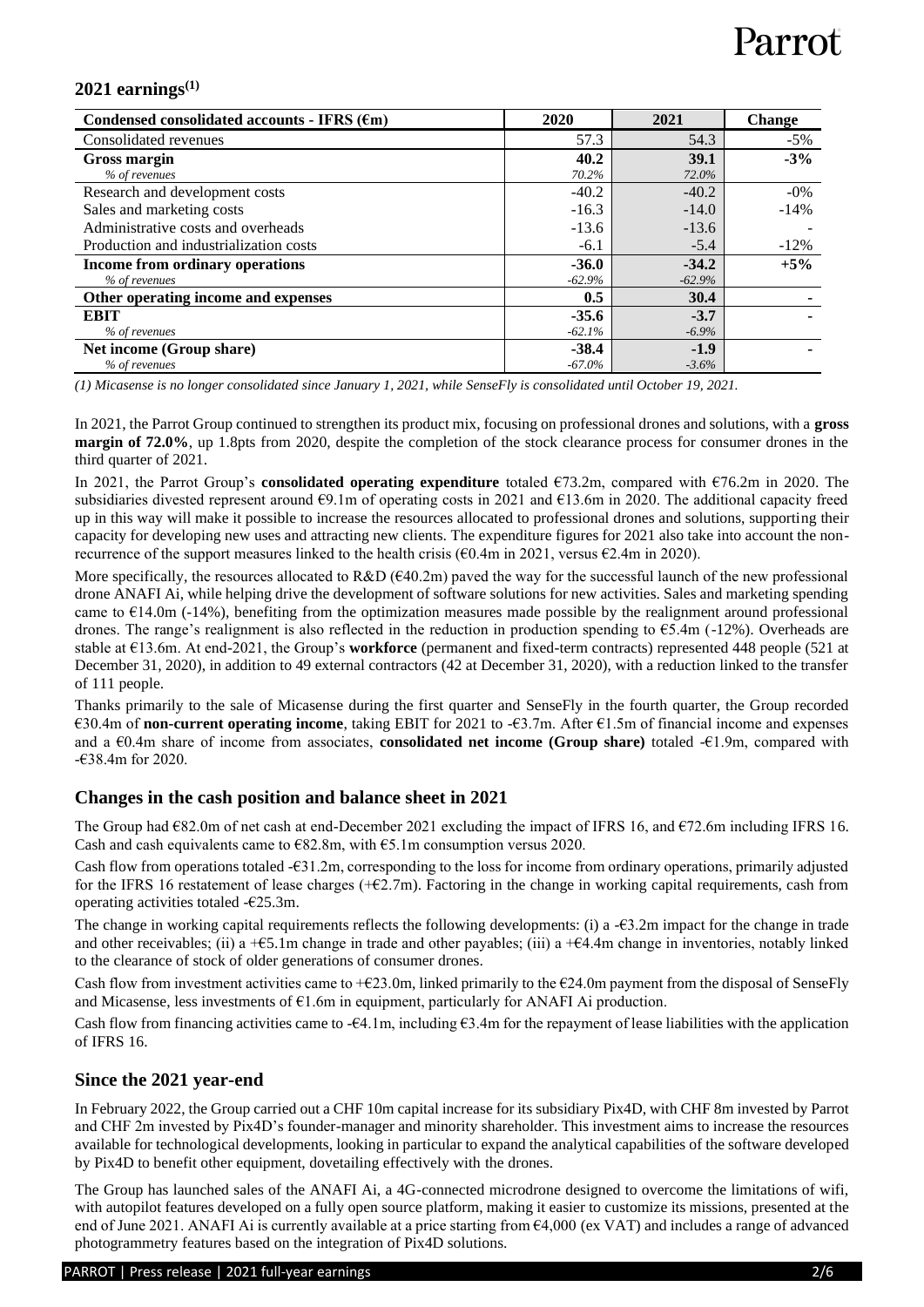### **2021 earnings(1)**

| Condensed consolidated accounts - IFRS $(\epsilon m)$ | 2020      | 2021     | <b>Change</b> |
|-------------------------------------------------------|-----------|----------|---------------|
| Consolidated revenues                                 | 57.3      | 54.3     | $-5\%$        |
| Gross margin                                          | 40.2      | 39.1     | $-3%$         |
| % of revenues                                         | 70.2%     | 72.0%    |               |
| Research and development costs                        | $-40.2$   | $-40.2$  | $-0\%$        |
| Sales and marketing costs                             | $-16.3$   | $-14.0$  | $-14%$        |
| Administrative costs and overheads                    | $-13.6$   | $-13.6$  |               |
| Production and industrialization costs                | $-6.1$    | $-5.4$   | $-12\%$       |
| Income from ordinary operations                       | $-36.0$   | $-34.2$  | $+5%$         |
| % of revenues                                         | $-62.9%$  | $-62.9%$ |               |
| Other operating income and expenses                   | 0.5       | 30.4     |               |
| <b>EBIT</b>                                           | $-35.6$   | $-3.7$   |               |
| % of revenues                                         | $-62.1%$  | $-6.9\%$ |               |
| Net income (Group share)                              | $-38.4$   | $-1.9$   |               |
| % of revenues                                         | $-67.0\%$ | $-3.6%$  |               |

*(1) Micasense is no longer consolidated since January 1, 2021, while SenseFly is consolidated until October 19, 2021.*

In 2021, the Parrot Group continued to strengthen its product mix, focusing on professional drones and solutions, with a **gross margin of 72.0%**, up 1.8pts from 2020, despite the completion of the stock clearance process for consumer drones in the third quarter of 2021.

In 2021, the Parrot Group's **consolidated operating expenditure** totaled €73.2m, compared with €76.2m in 2020. The subsidiaries divested represent around €9.1m of operating costs in 2021 and €13.6m in 2020. The additional capacity freed up in this way will make it possible to increase the resources allocated to professional drones and solutions, supporting their capacity for developing new uses and attracting new clients. The expenditure figures for 2021 also take into account the nonrecurrence of the support measures linked to the health crisis (€0.4m in 2021, versus €2.4m in 2020).

More specifically, the resources allocated to R&D ( $640.2m$ ) paved the way for the successful launch of the new professional drone ANAFI Ai, while helping drive the development of software solutions for new activities. Sales and marketing spending came to  $E14.0m$  (-14%), benefiting from the optimization measures made possible by the realignment around professional drones. The range's realignment is also reflected in the reduction in production spending to  $65.4$ m (-12%). Overheads are stable at €13.6m. At end-2021, the Group's **workforce** (permanent and fixed-term contracts) represented 448 people (521 at December 31, 2020), in addition to 49 external contractors (42 at December 31, 2020), with a reduction linked to the transfer of 111 people.

Thanks primarily to the sale of Micasense during the first quarter and SenseFly in the fourth quarter, the Group recorded €30.4m of **non-current operating income**, taking EBIT for 2021 to -€3.7m. After €1.5m of financial income and expenses and a €0.4m share of income from associates, **consolidated net income (Group share)** totaled -€1.9m, compared with  $-638.4m$  for 2020

### **Changes in the cash position and balance sheet in 2021**

The Group had  $E82.0m$  of net cash at end-December 2021 excluding the impact of IFRS 16, and  $E72.6m$  including IFRS 16. Cash and cash equivalents came to  $E$ 82.8m, with  $E$ 5.1m consumption versus 2020.

Cash flow from operations totaled -€31.2m, corresponding to the loss for income from ordinary operations, primarily adjusted for the IFRS 16 restatement of lease charges  $(+62.7m)$ . Factoring in the change in working capital requirements, cash from operating activities totaled -€25.3m.

The change in working capital requirements reflects the following developments: (i) a -€3.2m impact for the change in trade and other receivables; (ii) a + $\epsilon$ 5.1m change in trade and other payables; (iii) a + $\epsilon$ 4.4m change in inventories, notably linked to the clearance of stock of older generations of consumer drones.

Cash flow from investment activities came to  $+\epsilon$ 23.0m, linked primarily to the  $\epsilon$ 24.0m payment from the disposal of SenseFly and Micasense, less investments of  $E1.6m$  in equipment, particularly for ANAFI Ai production.

Cash flow from financing activities came to - $\epsilon 4.1$ m, including  $\epsilon 3.4$ m for the repayment of lease liabilities with the application of IFRS 16.

### **Since the 2021 year-end**

In February 2022, the Group carried out a CHF 10m capital increase for its subsidiary Pix4D, with CHF 8m invested by Parrot and CHF 2m invested by Pix4D's founder-manager and minority shareholder. This investment aims to increase the resources available for technological developments, looking in particular to expand the analytical capabilities of the software developed by Pix4D to benefit other equipment, dovetailing effectively with the drones.

The Group has launched sales of the ANAFI Ai, a 4G-connected microdrone designed to overcome the limitations of wifi, with autopilot features developed on a fully open source platform, making it easier to customize its missions, presented at the end of June 2021. ANAFI Ai is currently available at a price starting from €4,000 (ex VAT) and includes a range of advanced photogrammetry features based on the integration of Pix4D solutions.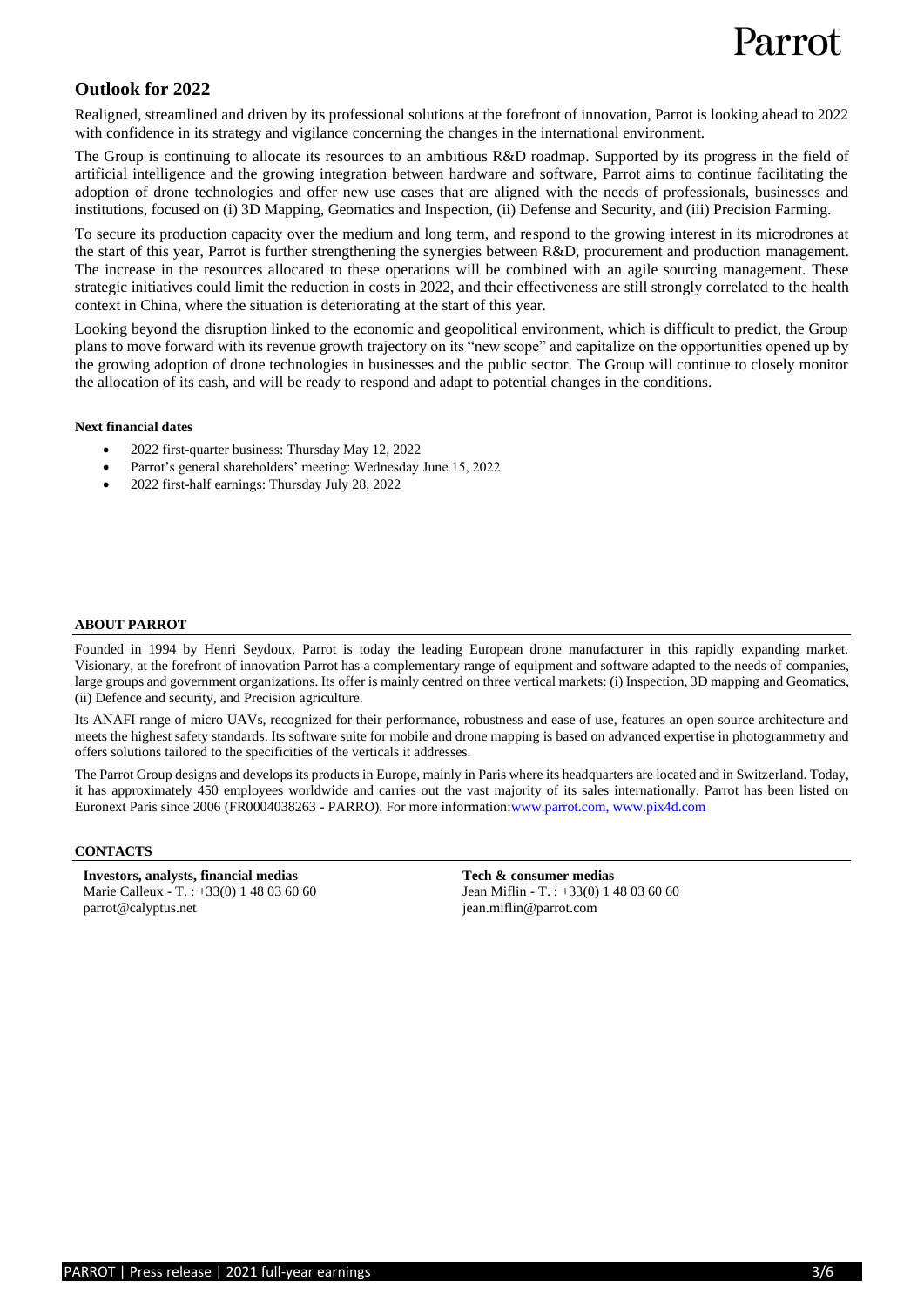### **Outlook for 2022**

Realigned, streamlined and driven by its professional solutions at the forefront of innovation, Parrot is looking ahead to 2022 with confidence in its strategy and vigilance concerning the changes in the international environment.

The Group is continuing to allocate its resources to an ambitious R&D roadmap. Supported by its progress in the field of artificial intelligence and the growing integration between hardware and software, Parrot aims to continue facilitating the adoption of drone technologies and offer new use cases that are aligned with the needs of professionals, businesses and institutions, focused on (i) 3D Mapping, Geomatics and Inspection, (ii) Defense and Security, and (iii) Precision Farming.

To secure its production capacity over the medium and long term, and respond to the growing interest in its microdrones at the start of this year, Parrot is further strengthening the synergies between R&D, procurement and production management. The increase in the resources allocated to these operations will be combined with an agile sourcing management. These strategic initiatives could limit the reduction in costs in 2022, and their effectiveness are still strongly correlated to the health context in China, where the situation is deteriorating at the start of this year.

Looking beyond the disruption linked to the economic and geopolitical environment, which is difficult to predict, the Group plans to move forward with its revenue growth trajectory on its "new scope" and capitalize on the opportunities opened up by the growing adoption of drone technologies in businesses and the public sector. The Group will continue to closely monitor the allocation of its cash, and will be ready to respond and adapt to potential changes in the conditions.

#### **Next financial dates**

- 2022 first-quarter business: Thursday May 12, 2022
- Parrot's general shareholders' meeting: Wednesday June 15, 2022
- 2022 first-half earnings: Thursday July 28, 2022

#### **ABOUT PARROT**

Founded in 1994 by Henri Seydoux, Parrot is today the leading European drone manufacturer in this rapidly expanding market. Visionary, at the forefront of innovation Parrot has a complementary range of equipment and software adapted to the needs of companies, large groups and government organizations. Its offer is mainly centred on three vertical markets: (i) Inspection, 3D mapping and Geomatics, (ii) Defence and security, and Precision agriculture.

Its ANAFI range of micro UAVs, recognized for their performance, robustness and ease of use, features an open source architecture and meets the highest safety standards. Its software suite for mobile and drone mapping is based on advanced expertise in photogrammetry and offers solutions tailored to the specificities of the verticals it addresses.

The Parrot Group designs and develops its products in Europe, mainly in Paris where its headquarters are located and in Switzerland. Today, it has approximately 450 employees worldwide and carries out the vast majority of its sales internationally. Parrot has been listed on Euronext Paris since 2006 (FR0004038263 - PARRO). For more information[:www.parrot.com,](http://www.parrot.com/) [www.pix4d.com](http://www.pix4d.com/)

#### **CONTACTS**

**Investors, analysts, financial medias**  Marie Calleux - T. : +33(0) 1 48 03 60 60 [parrot@calyptus.net](mailto:parrot@calyptus.net)

**Tech & consumer medias** Jean Miflin - T. : +33(0) 1 48 03 60 60 jean.miflin@parrot.com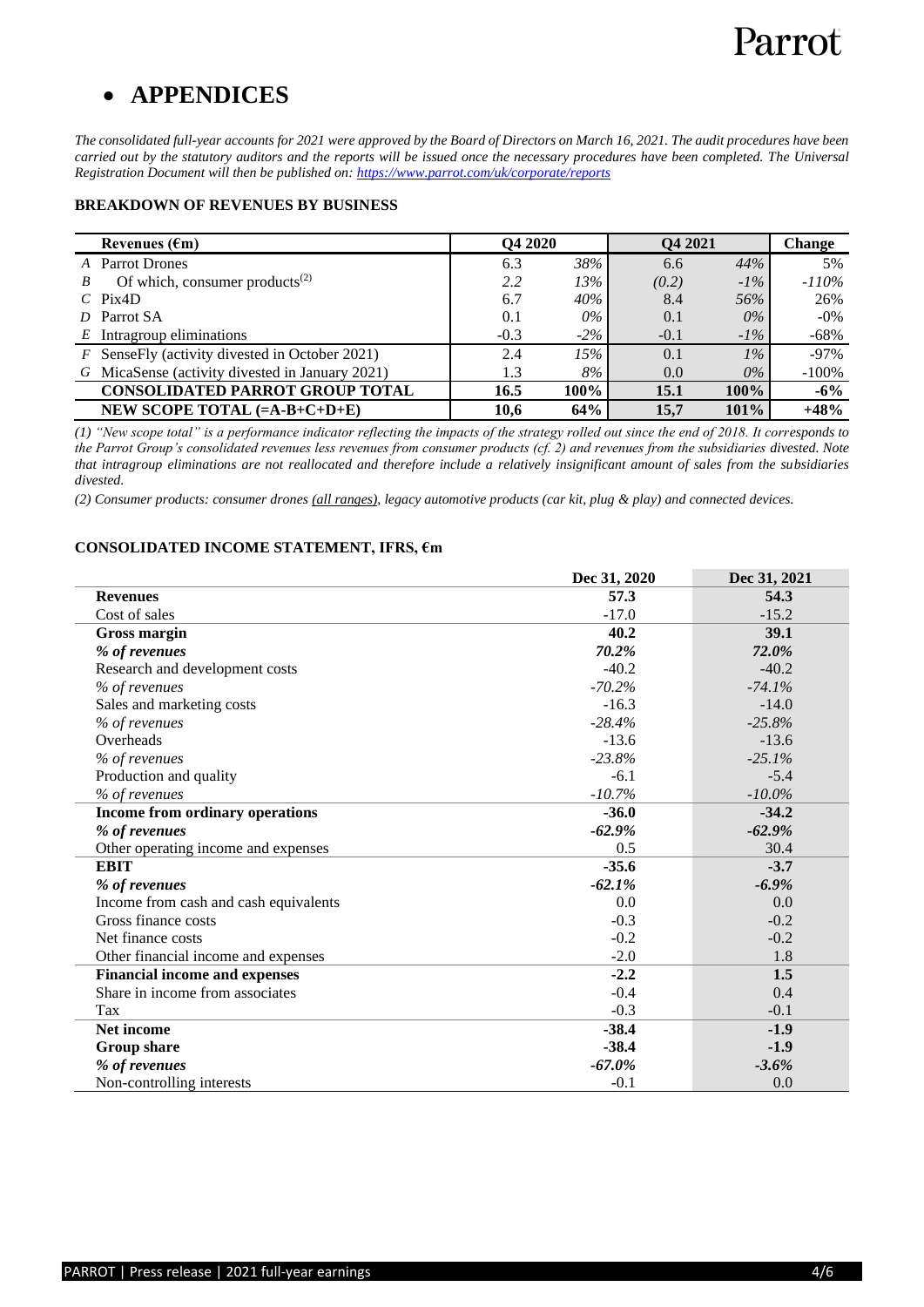## • **APPENDICES**

*The consolidated full-year accounts for 2021 were approved by the Board of Directors on March 16, 2021. The audit procedures have been carried out by the statutory auditors and the reports will be issued once the necessary procedures have been completed. The Universal Registration Document will then be published on:<https://www.parrot.com/uk/corporate/reports>*

#### **BREAKDOWN OF REVENUES BY BUSINESS**

| Revenues $(\epsilon m)$                                      |        | Q4 2020 | Q4 2021 |         | <b>Change</b> |
|--------------------------------------------------------------|--------|---------|---------|---------|---------------|
| <b>Parrot Drones</b><br>A                                    | 6.3    | 38%     | 6.6     | 44%     | 5%            |
| Of which, consumer products <sup><math>(2)</math></sup><br>R | 2.2    | 13%     | (0.2)   | $-1\%$  | $-110%$       |
| Pix4D<br>$\mathcal{C}$                                       | 6.7    | 40%     | 8.4     | 56%     | 26%           |
| Parrot SA<br>D                                               | 0.1    | 0%      | 0.1     | $0\%$   | $-0\%$        |
| Intragroup eliminations<br>E                                 | $-0.3$ | $-2\%$  | $-0.1$  | $-1\%$  | $-68%$        |
| $F$ SenseFly (activity divested in October 2021)             | 2.4    | 15%     | 0.1     | $1\%$   | $-97\%$       |
| G MicaSense (activity divested in January 2021)              | 1.3    | 8%      | 0.0     | $0\%$   | $-100%$       |
| <b>CONSOLIDATED PARROT GROUP TOTAL</b>                       | 16.5   | 100%    | 15.1    | $100\%$ | $-6\%$        |
| NEW SCOPE TOTAL $(=A-B+C+D+E)$                               | 10,6   | 64%     | 15.7    | 101%    | $+48%$        |

*(1) "New scope total" is a performance indicator reflecting the impacts of the strategy rolled out since the end of 2018. It corresponds to the Parrot Group's consolidated revenues less revenues from consumer products (cf. 2) and revenues from the subsidiaries divested. Note that intragroup eliminations are not reallocated and therefore include a relatively insignificant amount of sales from the subsidiaries divested.*

*(2) Consumer products: consumer drones (all ranges), legacy automotive products (car kit, plug & play) and connected devices.* 

#### **CONSOLIDATED INCOME STATEMENT, IFRS, €m**

|                                       | Dec 31, 2020 | Dec 31, 2021 |
|---------------------------------------|--------------|--------------|
| <b>Revenues</b>                       | 57.3         | 54.3         |
| Cost of sales                         | $-17.0$      | $-15.2$      |
| Gross margin                          | 40.2         | 39.1         |
| % of revenues                         | 70.2%        | 72.0%        |
| Research and development costs        | $-40.2$      | $-40.2$      |
| % of revenues                         | $-70.2%$     | $-74.1%$     |
| Sales and marketing costs             | $-16.3$      | $-14.0$      |
| % of revenues                         | $-28.4%$     | $-25.8%$     |
| Overheads                             | $-13.6$      | $-13.6$      |
| % of revenues                         | $-23.8%$     | $-25.1%$     |
| Production and quality                | $-6.1$       | $-5.4$       |
| % of revenues                         | $-10.7%$     | $-10.0\%$    |
| Income from ordinary operations       | $-36.0$      | $-34.2$      |
| % of revenues                         | $-62.9\%$    | $-62.9%$     |
| Other operating income and expenses   | 0.5          | 30.4         |
| <b>EBIT</b>                           | $-35.6$      | $-3.7$       |
| % of revenues                         | $-62.1%$     | $-6.9\%$     |
| Income from cash and cash equivalents | 0.0          | 0.0          |
| Gross finance costs                   | $-0.3$       | $-0.2$       |
| Net finance costs                     | $-0.2$       | $-0.2$       |
| Other financial income and expenses   | $-2.0$       | 1.8          |
| <b>Financial income and expenses</b>  | $-2.2$       | 1.5          |
| Share in income from associates       | $-0.4$       | 0.4          |
| Tax                                   | $-0.3$       | $-0.1$       |
| <b>Net income</b>                     | $-38.4$      | $-1.9$       |
| <b>Group share</b>                    | $-38.4$      | $-1.9$       |
| % of revenues                         | $-67.0\%$    | $-3.6%$      |
| Non-controlling interests             | $-0.1$       | 0.0          |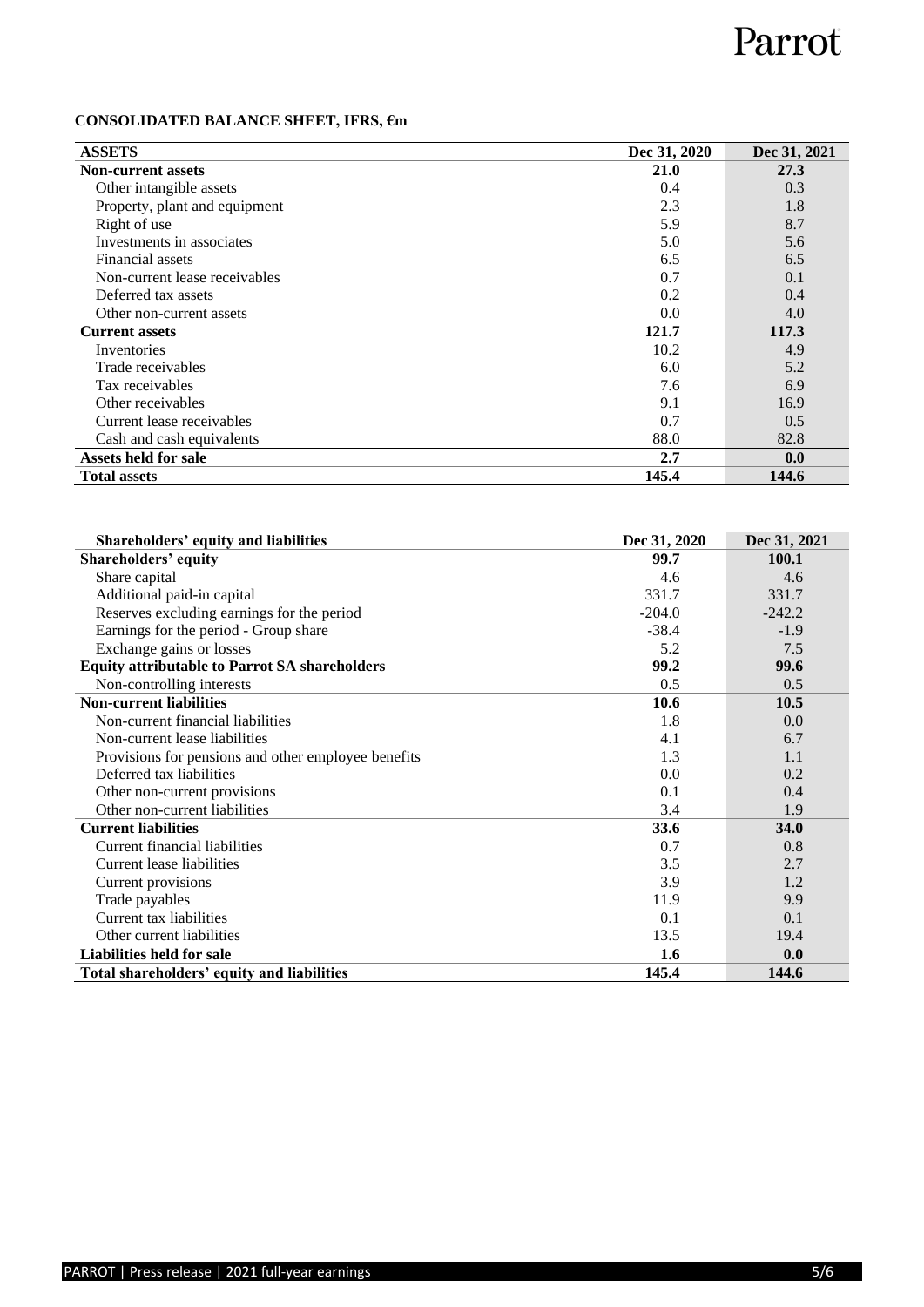### **CONSOLIDATED BALANCE SHEET, IFRS, €m**

| <b>ASSETS</b>                 | Dec 31, 2020 | Dec 31, 2021 |
|-------------------------------|--------------|--------------|
| <b>Non-current assets</b>     | 21.0         | 27.3         |
| Other intangible assets       | 0.4          | 0.3          |
| Property, plant and equipment | 2.3          | 1.8          |
| Right of use                  | 5.9          | 8.7          |
| Investments in associates     | 5.0          | 5.6          |
| Financial assets              | 6.5          | 6.5          |
| Non-current lease receivables | 0.7          | 0.1          |
| Deferred tax assets           | 0.2          | 0.4          |
| Other non-current assets      | 0.0          | 4.0          |
| <b>Current assets</b>         | 121.7        | 117.3        |
| Inventories                   | 10.2         | 4.9          |
| Trade receivables             | 6.0          | 5.2          |
| Tax receivables               | 7.6          | 6.9          |
| Other receivables             | 9.1          | 16.9         |
| Current lease receivables     | 0.7          | 0.5          |
| Cash and cash equivalents     | 88.0         | 82.8         |
| Assets held for sale          | 2.7          | 0.0          |
| <b>Total assets</b>           | 145.4        | 144.6        |

| Shareholders' equity and liabilities                 | Dec 31, 2020 | Dec 31, 2021 |
|------------------------------------------------------|--------------|--------------|
| <b>Shareholders' equity</b>                          | 99.7         | 100.1        |
| Share capital                                        | 4.6          | 4.6          |
| Additional paid-in capital                           | 331.7        | 331.7        |
| Reserves excluding earnings for the period           | $-204.0$     | $-242.2$     |
| Earnings for the period - Group share                | $-38.4$      | $-1.9$       |
| Exchange gains or losses                             | 5.2          | 7.5          |
| <b>Equity attributable to Parrot SA shareholders</b> | 99.2         | 99.6         |
| Non-controlling interests                            | 0.5          | 0.5          |
| <b>Non-current liabilities</b>                       | 10.6         | 10.5         |
| Non-current financial liabilities                    | 1.8          | 0.0          |
| Non-current lease liabilities                        | 4.1          | 6.7          |
| Provisions for pensions and other employee benefits  | 1.3          | 1.1          |
| Deferred tax liabilities                             | 0.0          | 0.2          |
| Other non-current provisions                         | 0.1          | 0.4          |
| Other non-current liabilities                        | 3.4          | 1.9          |
| <b>Current liabilities</b>                           | 33.6         | 34.0         |
| Current financial liabilities                        | 0.7          | 0.8          |
| Current lease liabilities                            | 3.5          | 2.7          |
| Current provisions                                   | 3.9          | 1.2          |
| Trade payables                                       | 11.9         | 9.9          |
| Current tax liabilities                              | 0.1          | 0.1          |
| Other current liabilities                            | 13.5         | 19.4         |
| Liabilities held for sale                            | 1.6          | 0.0          |
| Total shareholders' equity and liabilities           | 145.4        | 144.6        |